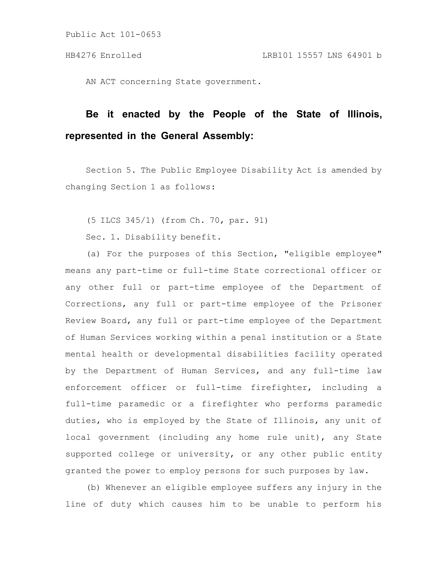AN ACT concerning State government.

# **Be it enacted by the People of the State of Illinois, represented in the General Assembly:**

Section 5. The Public Employee Disability Act is amended by changing Section 1 as follows:

(5 ILCS 345/1) (from Ch. 70, par. 91)

Sec. 1. Disability benefit.

(a) For the purposes of this Section, "eligible employee" means any part-time or full-time State correctional officer or any other full or part-time employee of the Department of Corrections, any full or part-time employee of the Prisoner Review Board, any full or part-time employee of the Department of Human Services working within a penal institution or a State mental health or developmental disabilities facility operated by the Department of Human Services, and any full-time law enforcement officer or full-time firefighter, including a full-time paramedic or a firefighter who performs paramedic duties, who is employed by the State of Illinois, any unit of local government (including any home rule unit), any State supported college or university, or any other public entity granted the power to employ persons for such purposes by law.

(b) Whenever an eligible employee suffers any injury in the line of duty which causes him to be unable to perform his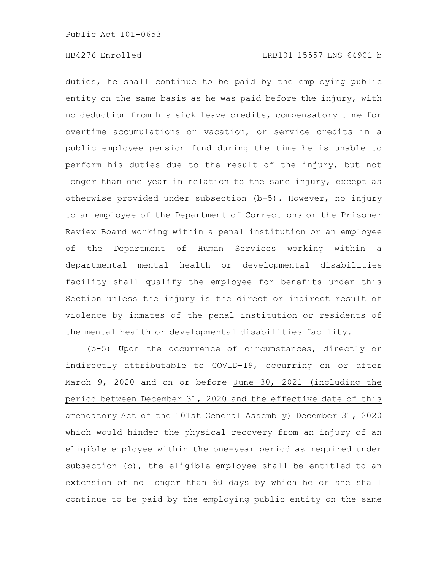duties, he shall continue to be paid by the employing public entity on the same basis as he was paid before the injury, with no deduction from his sick leave credits, compensatory time for overtime accumulations or vacation, or service credits in a public employee pension fund during the time he is unable to perform his duties due to the result of the injury, but not longer than one year in relation to the same injury, except as otherwise provided under subsection (b-5). However, no injury to an employee of the Department of Corrections or the Prisoner Review Board working within a penal institution or an employee of the Department of Human Services working within a departmental mental health or developmental disabilities facility shall qualify the employee for benefits under this Section unless the injury is the direct or indirect result of violence by inmates of the penal institution or residents of the mental health or developmental disabilities facility.

(b-5) Upon the occurrence of circumstances, directly or indirectly attributable to COVID-19, occurring on or after March 9, 2020 and on or before June 30, 2021 (including the period between December 31, 2020 and the effective date of this amendatory Act of the 101st General Assembly) December 31, 2020 which would hinder the physical recovery from an injury of an eligible employee within the one-year period as required under subsection (b), the eligible employee shall be entitled to an extension of no longer than 60 days by which he or she shall continue to be paid by the employing public entity on the same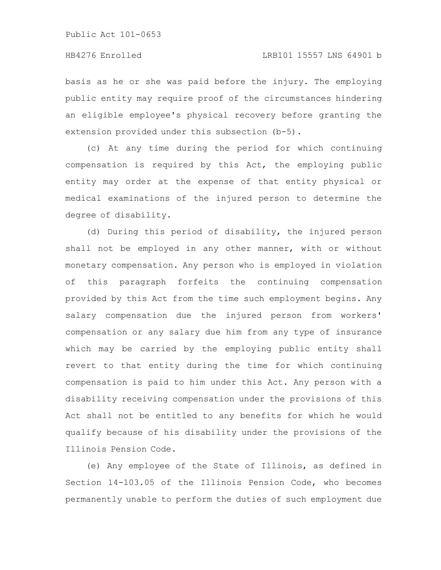basis as he or she was paid before the injury. The employing public entity may require proof of the circumstances hindering an eligible employee's physical recovery before granting the extension provided under this subsection (b-5).

(c) At any time during the period for which continuing compensation is required by this Act, the employing public entity may order at the expense of that entity physical or medical examinations of the injured person to determine the degree of disability.

(d) During this period of disability, the injured person shall not be employed in any other manner, with or without monetary compensation. Any person who is employed in violation of this paragraph forfeits the continuing compensation provided by this Act from the time such employment begins. Any salary compensation due the injured person from workers' compensation or any salary due him from any type of insurance which may be carried by the employing public entity shall revert to that entity during the time for which continuing compensation is paid to him under this Act. Any person with a disability receiving compensation under the provisions of this Act shall not be entitled to any benefits for which he would qualify because of his disability under the provisions of the Illinois Pension Code.

(e) Any employee of the State of Illinois, as defined in Section 14-103.05 of the Illinois Pension Code, who becomes permanently unable to perform the duties of such employment due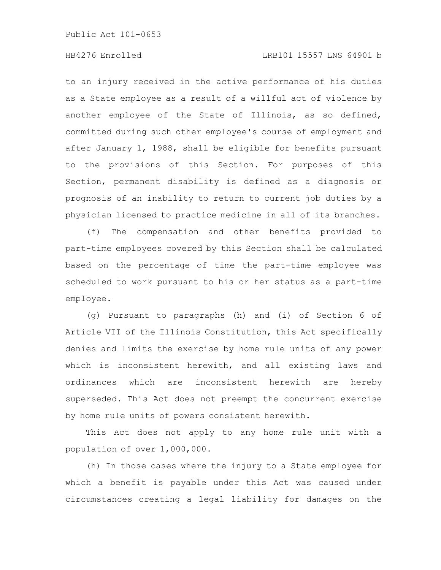# HB4276 Enrolled LRB101 15557 LNS 64901 b

to an injury received in the active performance of his duties as a State employee as a result of a willful act of violence by another employee of the State of Illinois, as so defined, committed during such other employee's course of employment and after January 1, 1988, shall be eligible for benefits pursuant to the provisions of this Section. For purposes of this Section, permanent disability is defined as a diagnosis or prognosis of an inability to return to current job duties by a physician licensed to practice medicine in all of its branches.

(f) The compensation and other benefits provided to part-time employees covered by this Section shall be calculated based on the percentage of time the part-time employee was scheduled to work pursuant to his or her status as a part-time employee.

(g) Pursuant to paragraphs (h) and (i) of Section 6 of Article VII of the Illinois Constitution, this Act specifically denies and limits the exercise by home rule units of any power which is inconsistent herewith, and all existing laws and ordinances which are inconsistent herewith are hereby superseded. This Act does not preempt the concurrent exercise by home rule units of powers consistent herewith.

This Act does not apply to any home rule unit with a population of over 1,000,000.

(h) In those cases where the injury to a State employee for which a benefit is payable under this Act was caused under circumstances creating a legal liability for damages on the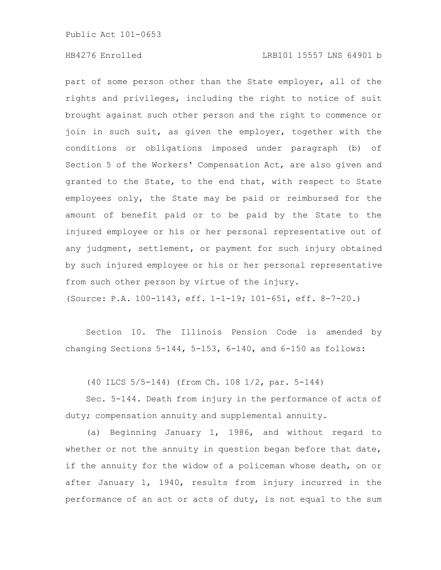# HB4276 Enrolled LRB101 15557 LNS 64901 b

part of some person other than the State employer, all of the rights and privileges, including the right to notice of suit brought against such other person and the right to commence or join in such suit, as given the employer, together with the conditions or obligations imposed under paragraph (b) of Section 5 of the Workers' Compensation Act, are also given and granted to the State, to the end that, with respect to State employees only, the State may be paid or reimbursed for the amount of benefit paid or to be paid by the State to the injured employee or his or her personal representative out of any judgment, settlement, or payment for such injury obtained by such injured employee or his or her personal representative from such other person by virtue of the injury.

(Source: P.A. 100-1143, eff. 1-1-19; 101-651, eff. 8-7-20.)

Section 10. The Illinois Pension Code is amended by changing Sections 5-144, 5-153, 6-140, and 6-150 as follows:

(40 ILCS 5/5-144) (from Ch. 108 1/2, par. 5-144)

Sec. 5-144. Death from injury in the performance of acts of duty; compensation annuity and supplemental annuity.

(a) Beginning January 1, 1986, and without regard to whether or not the annuity in question began before that date, if the annuity for the widow of a policeman whose death, on or after January 1, 1940, results from injury incurred in the performance of an act or acts of duty, is not equal to the sum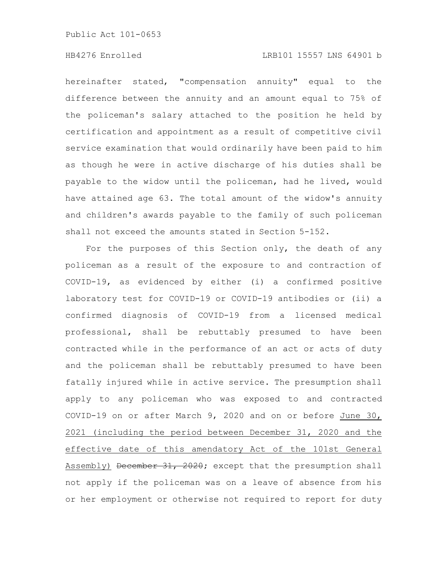# HB4276 Enrolled LRB101 15557 LNS 64901 b

hereinafter stated, "compensation annuity" equal to the difference between the annuity and an amount equal to 75% of the policeman's salary attached to the position he held by certification and appointment as a result of competitive civil service examination that would ordinarily have been paid to him as though he were in active discharge of his duties shall be payable to the widow until the policeman, had he lived, would have attained age 63. The total amount of the widow's annuity and children's awards payable to the family of such policeman shall not exceed the amounts stated in Section 5-152.

For the purposes of this Section only, the death of any policeman as a result of the exposure to and contraction of COVID-19, as evidenced by either (i) a confirmed positive laboratory test for COVID-19 or COVID-19 antibodies or (ii) a confirmed diagnosis of COVID-19 from a licensed medical professional, shall be rebuttably presumed to have been contracted while in the performance of an act or acts of duty and the policeman shall be rebuttably presumed to have been fatally injured while in active service. The presumption shall apply to any policeman who was exposed to and contracted COVID-19 on or after March 9, 2020 and on or before June 30, 2021 (including the period between December 31, 2020 and the effective date of this amendatory Act of the 101st General Assembly) December 31, 2020; except that the presumption shall not apply if the policeman was on a leave of absence from his or her employment or otherwise not required to report for duty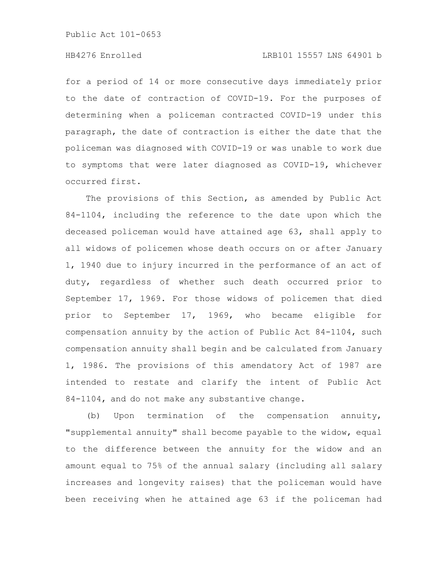# HB4276 Enrolled LRB101 15557 LNS 64901 b

for a period of 14 or more consecutive days immediately prior to the date of contraction of COVID-19. For the purposes of determining when a policeman contracted COVID-19 under this paragraph, the date of contraction is either the date that the policeman was diagnosed with COVID-19 or was unable to work due to symptoms that were later diagnosed as COVID-19, whichever occurred first.

The provisions of this Section, as amended by Public Act 84-1104, including the reference to the date upon which the deceased policeman would have attained age 63, shall apply to all widows of policemen whose death occurs on or after January 1, 1940 due to injury incurred in the performance of an act of duty, regardless of whether such death occurred prior to September 17, 1969. For those widows of policemen that died prior to September 17, 1969, who became eligible for compensation annuity by the action of Public Act 84-1104, such compensation annuity shall begin and be calculated from January 1, 1986. The provisions of this amendatory Act of 1987 are intended to restate and clarify the intent of Public Act 84-1104, and do not make any substantive change.

(b) Upon termination of the compensation annuity, "supplemental annuity" shall become payable to the widow, equal to the difference between the annuity for the widow and an amount equal to 75% of the annual salary (including all salary increases and longevity raises) that the policeman would have been receiving when he attained age 63 if the policeman had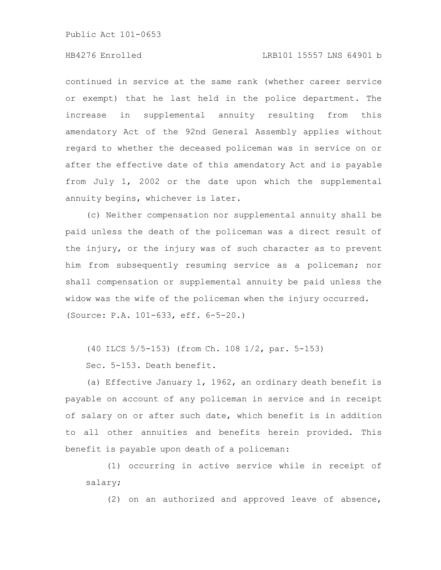# HB4276 Enrolled LRB101 15557 LNS 64901 b

continued in service at the same rank (whether career service or exempt) that he last held in the police department. The increase in supplemental annuity resulting from this amendatory Act of the 92nd General Assembly applies without regard to whether the deceased policeman was in service on or after the effective date of this amendatory Act and is payable from July 1, 2002 or the date upon which the supplemental annuity begins, whichever is later.

(c) Neither compensation nor supplemental annuity shall be paid unless the death of the policeman was a direct result of the injury, or the injury was of such character as to prevent him from subsequently resuming service as a policeman; nor shall compensation or supplemental annuity be paid unless the widow was the wife of the policeman when the injury occurred. (Source: P.A. 101-633, eff. 6-5-20.)

(40 ILCS 5/5-153) (from Ch. 108 1/2, par. 5-153)

Sec. 5-153. Death benefit.

(a) Effective January 1, 1962, an ordinary death benefit is payable on account of any policeman in service and in receipt of salary on or after such date, which benefit is in addition to all other annuities and benefits herein provided. This benefit is payable upon death of a policeman:

(1) occurring in active service while in receipt of salary;

(2) on an authorized and approved leave of absence,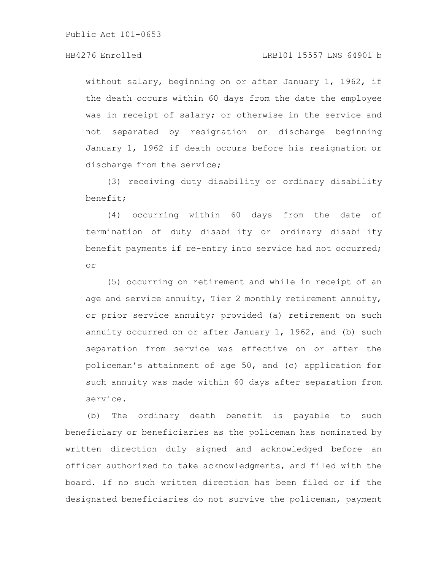# HB4276 Enrolled LRB101 15557 LNS 64901 b

without salary, beginning on or after January 1, 1962, if the death occurs within 60 days from the date the employee was in receipt of salary; or otherwise in the service and not separated by resignation or discharge beginning January 1, 1962 if death occurs before his resignation or discharge from the service;

(3) receiving duty disability or ordinary disability benefit;

(4) occurring within 60 days from the date of termination of duty disability or ordinary disability benefit payments if re-entry into service had not occurred; or

(5) occurring on retirement and while in receipt of an age and service annuity, Tier 2 monthly retirement annuity, or prior service annuity; provided (a) retirement on such annuity occurred on or after January 1, 1962, and (b) such separation from service was effective on or after the policeman's attainment of age 50, and (c) application for such annuity was made within 60 days after separation from service.

(b) The ordinary death benefit is payable to such beneficiary or beneficiaries as the policeman has nominated by written direction duly signed and acknowledged before an officer authorized to take acknowledgments, and filed with the board. If no such written direction has been filed or if the designated beneficiaries do not survive the policeman, payment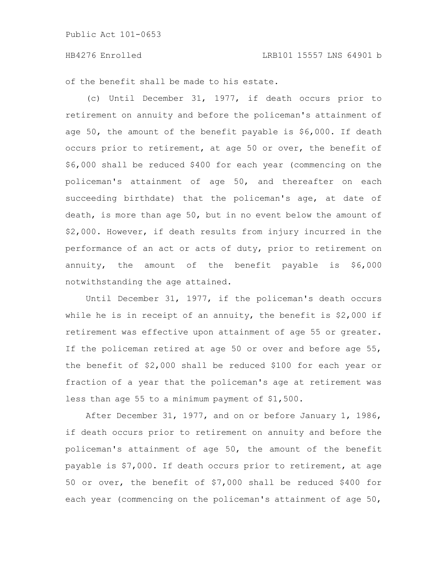### HB4276 Enrolled LRB101 15557 LNS 64901 b

of the benefit shall be made to his estate.

(c) Until December 31, 1977, if death occurs prior to retirement on annuity and before the policeman's attainment of age  $50$ , the amount of the benefit payable is  $$6,000$ . If death occurs prior to retirement, at age 50 or over, the benefit of \$6,000 shall be reduced \$400 for each year (commencing on the policeman's attainment of age 50, and thereafter on each succeeding birthdate) that the policeman's age, at date of death, is more than age 50, but in no event below the amount of \$2,000. However, if death results from injury incurred in the performance of an act or acts of duty, prior to retirement on annuity, the amount of the benefit payable is \$6,000 notwithstanding the age attained.

Until December 31, 1977, if the policeman's death occurs while he is in receipt of an annuity, the benefit is \$2,000 if retirement was effective upon attainment of age 55 or greater. If the policeman retired at age 50 or over and before age 55, the benefit of \$2,000 shall be reduced \$100 for each year or fraction of a year that the policeman's age at retirement was less than age 55 to a minimum payment of \$1,500.

After December 31, 1977, and on or before January 1, 1986, if death occurs prior to retirement on annuity and before the policeman's attainment of age 50, the amount of the benefit payable is \$7,000. If death occurs prior to retirement, at age 50 or over, the benefit of \$7,000 shall be reduced \$400 for each year (commencing on the policeman's attainment of age 50,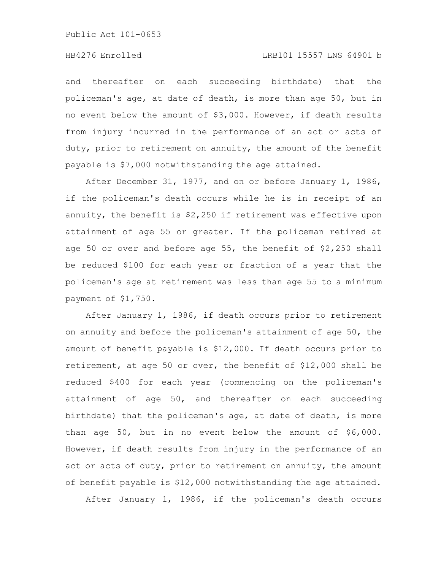and thereafter on each succeeding birthdate) that the policeman's age, at date of death, is more than age 50, but in no event below the amount of \$3,000. However, if death results from injury incurred in the performance of an act or acts of duty, prior to retirement on annuity, the amount of the benefit payable is \$7,000 notwithstanding the age attained.

After December 31, 1977, and on or before January 1, 1986, if the policeman's death occurs while he is in receipt of an annuity, the benefit is \$2,250 if retirement was effective upon attainment of age 55 or greater. If the policeman retired at age 50 or over and before age 55, the benefit of \$2,250 shall be reduced \$100 for each year or fraction of a year that the policeman's age at retirement was less than age 55 to a minimum payment of \$1,750.

After January 1, 1986, if death occurs prior to retirement on annuity and before the policeman's attainment of age 50, the amount of benefit payable is \$12,000. If death occurs prior to retirement, at age 50 or over, the benefit of \$12,000 shall be reduced \$400 for each year (commencing on the policeman's attainment of age 50, and thereafter on each succeeding birthdate) that the policeman's age, at date of death, is more than age 50, but in no event below the amount of \$6,000. However, if death results from injury in the performance of an act or acts of duty, prior to retirement on annuity, the amount of benefit payable is \$12,000 notwithstanding the age attained.

After January 1, 1986, if the policeman's death occurs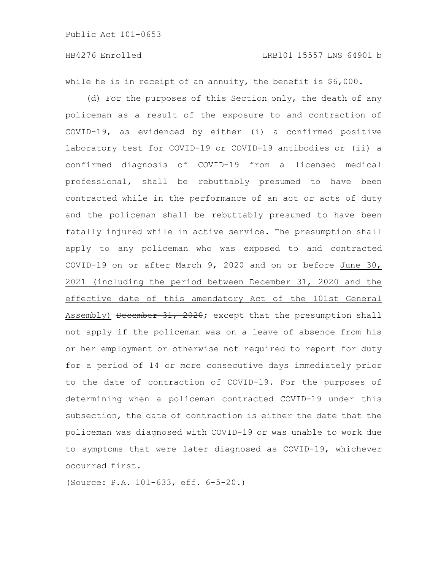while he is in receipt of an annuity, the benefit is \$6,000.

(d) For the purposes of this Section only, the death of any policeman as a result of the exposure to and contraction of COVID-19, as evidenced by either (i) a confirmed positive laboratory test for COVID-19 or COVID-19 antibodies or (ii) a confirmed diagnosis of COVID-19 from a licensed medical professional, shall be rebuttably presumed to have been contracted while in the performance of an act or acts of duty and the policeman shall be rebuttably presumed to have been fatally injured while in active service. The presumption shall apply to any policeman who was exposed to and contracted COVID-19 on or after March 9, 2020 and on or before June 30, 2021 (including the period between December 31, 2020 and the effective date of this amendatory Act of the 101st General Assembly) December 31, 2020; except that the presumption shall not apply if the policeman was on a leave of absence from his or her employment or otherwise not required to report for duty for a period of 14 or more consecutive days immediately prior to the date of contraction of COVID-19. For the purposes of determining when a policeman contracted COVID-19 under this subsection, the date of contraction is either the date that the policeman was diagnosed with COVID-19 or was unable to work due to symptoms that were later diagnosed as COVID-19, whichever occurred first.

(Source: P.A. 101-633, eff. 6-5-20.)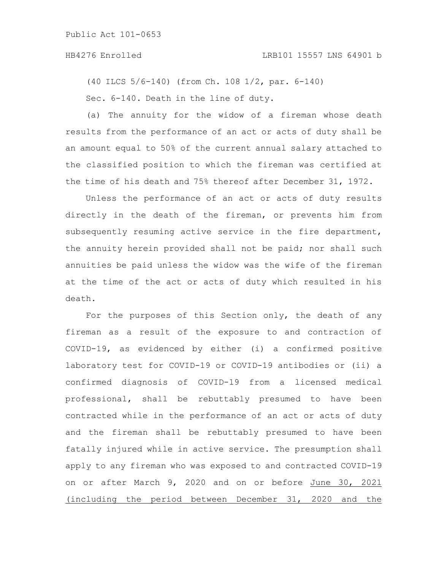# HB4276 Enrolled LRB101 15557 LNS 64901 b

(40 ILCS 5/6-140) (from Ch. 108 1/2, par. 6-140) Sec. 6-140. Death in the line of duty.

(a) The annuity for the widow of a fireman whose death results from the performance of an act or acts of duty shall be an amount equal to 50% of the current annual salary attached to the classified position to which the fireman was certified at the time of his death and 75% thereof after December 31, 1972.

Unless the performance of an act or acts of duty results directly in the death of the fireman, or prevents him from subsequently resuming active service in the fire department, the annuity herein provided shall not be paid; nor shall such annuities be paid unless the widow was the wife of the fireman at the time of the act or acts of duty which resulted in his death.

For the purposes of this Section only, the death of any fireman as a result of the exposure to and contraction of COVID-19, as evidenced by either (i) a confirmed positive laboratory test for COVID-19 or COVID-19 antibodies or (ii) a confirmed diagnosis of COVID-19 from a licensed medical professional, shall be rebuttably presumed to have been contracted while in the performance of an act or acts of duty and the fireman shall be rebuttably presumed to have been fatally injured while in active service. The presumption shall apply to any fireman who was exposed to and contracted COVID-19 on or after March 9, 2020 and on or before June 30, 2021 (including the period between December 31, 2020 and the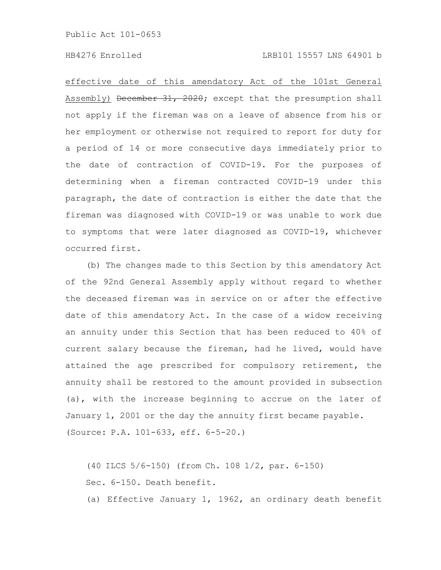effective date of this amendatory Act of the 101st General Assembly) December 31, 2020; except that the presumption shall not apply if the fireman was on a leave of absence from his or her employment or otherwise not required to report for duty for a period of 14 or more consecutive days immediately prior to the date of contraction of COVID-19. For the purposes of determining when a fireman contracted COVID-19 under this paragraph, the date of contraction is either the date that the fireman was diagnosed with COVID-19 or was unable to work due to symptoms that were later diagnosed as COVID-19, whichever occurred first.

(b) The changes made to this Section by this amendatory Act of the 92nd General Assembly apply without regard to whether the deceased fireman was in service on or after the effective date of this amendatory Act. In the case of a widow receiving an annuity under this Section that has been reduced to 40% of current salary because the fireman, had he lived, would have attained the age prescribed for compulsory retirement, the annuity shall be restored to the amount provided in subsection (a), with the increase beginning to accrue on the later of January 1, 2001 or the day the annuity first became payable. (Source: P.A. 101-633, eff. 6-5-20.)

(40 ILCS 5/6-150) (from Ch. 108 1/2, par. 6-150) Sec. 6-150. Death benefit.

(a) Effective January 1, 1962, an ordinary death benefit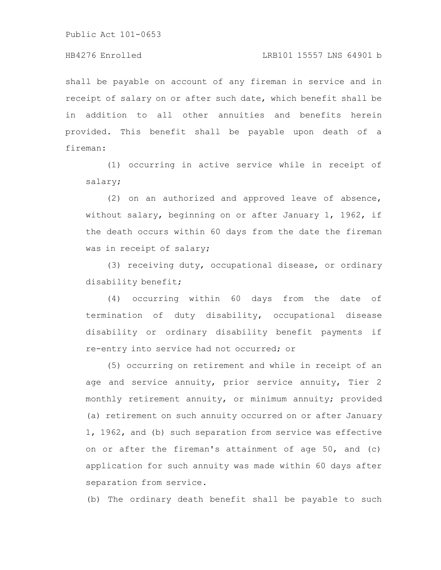# HB4276 Enrolled LRB101 15557 LNS 64901 b

shall be payable on account of any fireman in service and in receipt of salary on or after such date, which benefit shall be in addition to all other annuities and benefits herein provided. This benefit shall be payable upon death of a fireman:

(1) occurring in active service while in receipt of salary;

(2) on an authorized and approved leave of absence, without salary, beginning on or after January 1, 1962, if the death occurs within 60 days from the date the fireman was in receipt of salary;

(3) receiving duty, occupational disease, or ordinary disability benefit;

(4) occurring within 60 days from the date of termination of duty disability, occupational disease disability or ordinary disability benefit payments if re-entry into service had not occurred; or

(5) occurring on retirement and while in receipt of an age and service annuity, prior service annuity, Tier 2 monthly retirement annuity, or minimum annuity; provided (a) retirement on such annuity occurred on or after January 1, 1962, and (b) such separation from service was effective on or after the fireman's attainment of age 50, and (c) application for such annuity was made within 60 days after separation from service.

(b) The ordinary death benefit shall be payable to such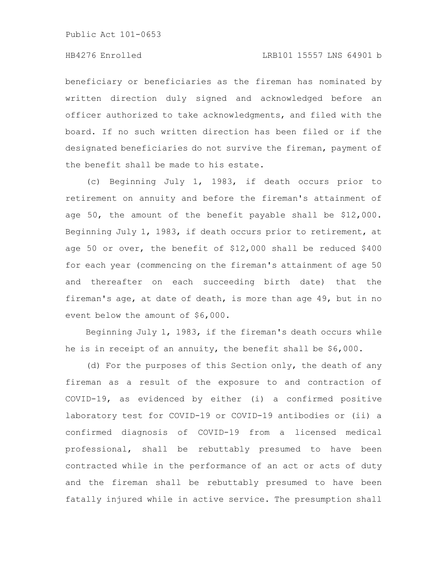# HB4276 Enrolled LRB101 15557 LNS 64901 b

beneficiary or beneficiaries as the fireman has nominated by written direction duly signed and acknowledged before an officer authorized to take acknowledgments, and filed with the board. If no such written direction has been filed or if the designated beneficiaries do not survive the fireman, payment of the benefit shall be made to his estate.

(c) Beginning July 1, 1983, if death occurs prior to retirement on annuity and before the fireman's attainment of age 50, the amount of the benefit payable shall be \$12,000. Beginning July 1, 1983, if death occurs prior to retirement, at age 50 or over, the benefit of \$12,000 shall be reduced \$400 for each year (commencing on the fireman's attainment of age 50 and thereafter on each succeeding birth date) that the fireman's age, at date of death, is more than age 49, but in no event below the amount of \$6,000.

Beginning July 1, 1983, if the fireman's death occurs while he is in receipt of an annuity, the benefit shall be \$6,000.

(d) For the purposes of this Section only, the death of any fireman as a result of the exposure to and contraction of COVID-19, as evidenced by either (i) a confirmed positive laboratory test for COVID-19 or COVID-19 antibodies or (ii) a confirmed diagnosis of COVID-19 from a licensed medical professional, shall be rebuttably presumed to have been contracted while in the performance of an act or acts of duty and the fireman shall be rebuttably presumed to have been fatally injured while in active service. The presumption shall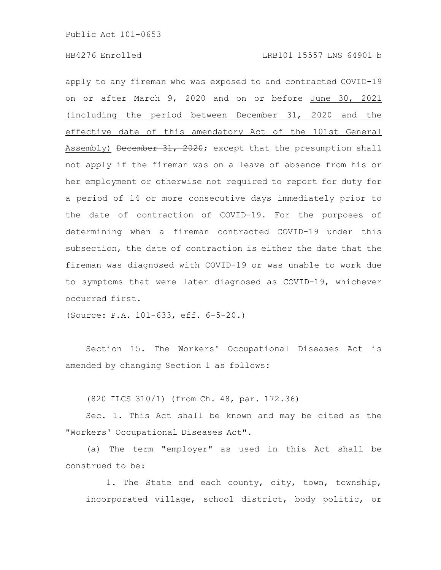apply to any fireman who was exposed to and contracted COVID-19 on or after March 9, 2020 and on or before June 30, 2021 (including the period between December 31, 2020 and the effective date of this amendatory Act of the 101st General Assembly) December 31, 2020; except that the presumption shall not apply if the fireman was on a leave of absence from his or her employment or otherwise not required to report for duty for a period of 14 or more consecutive days immediately prior to the date of contraction of COVID-19. For the purposes of determining when a fireman contracted COVID-19 under this subsection, the date of contraction is either the date that the fireman was diagnosed with COVID-19 or was unable to work due to symptoms that were later diagnosed as COVID-19, whichever occurred first.

(Source: P.A. 101-633, eff. 6-5-20.)

Section 15. The Workers' Occupational Diseases Act is amended by changing Section 1 as follows:

(820 ILCS 310/1) (from Ch. 48, par. 172.36)

Sec. 1. This Act shall be known and may be cited as the "Workers' Occupational Diseases Act".

(a) The term "employer" as used in this Act shall be construed to be:

1. The State and each county, city, town, township, incorporated village, school district, body politic, or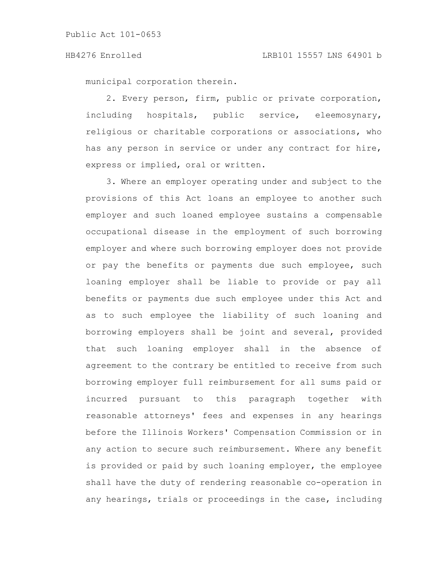municipal corporation therein.

2. Every person, firm, public or private corporation, including hospitals, public service, eleemosynary, religious or charitable corporations or associations, who has any person in service or under any contract for hire, express or implied, oral or written.

3. Where an employer operating under and subject to the provisions of this Act loans an employee to another such employer and such loaned employee sustains a compensable occupational disease in the employment of such borrowing employer and where such borrowing employer does not provide or pay the benefits or payments due such employee, such loaning employer shall be liable to provide or pay all benefits or payments due such employee under this Act and as to such employee the liability of such loaning and borrowing employers shall be joint and several, provided that such loaning employer shall in the absence of agreement to the contrary be entitled to receive from such borrowing employer full reimbursement for all sums paid or incurred pursuant to this paragraph together with reasonable attorneys' fees and expenses in any hearings before the Illinois Workers' Compensation Commission or in any action to secure such reimbursement. Where any benefit is provided or paid by such loaning employer, the employee shall have the duty of rendering reasonable co-operation in any hearings, trials or proceedings in the case, including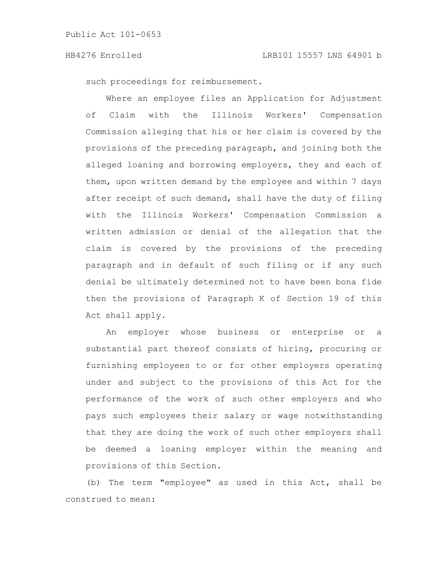such proceedings for reimbursement.

Where an employee files an Application for Adjustment of Claim with the Illinois Workers' Compensation Commission alleging that his or her claim is covered by the provisions of the preceding paragraph, and joining both the alleged loaning and borrowing employers, they and each of them, upon written demand by the employee and within 7 days after receipt of such demand, shall have the duty of filing with the Illinois Workers' Compensation Commission a written admission or denial of the allegation that the claim is covered by the provisions of the preceding paragraph and in default of such filing or if any such denial be ultimately determined not to have been bona fide then the provisions of Paragraph K of Section 19 of this Act shall apply.

An employer whose business or enterprise or a substantial part thereof consists of hiring, procuring or furnishing employees to or for other employers operating under and subject to the provisions of this Act for the performance of the work of such other employers and who pays such employees their salary or wage notwithstanding that they are doing the work of such other employers shall be deemed a loaning employer within the meaning and provisions of this Section.

(b) The term "employee" as used in this Act, shall be construed to mean: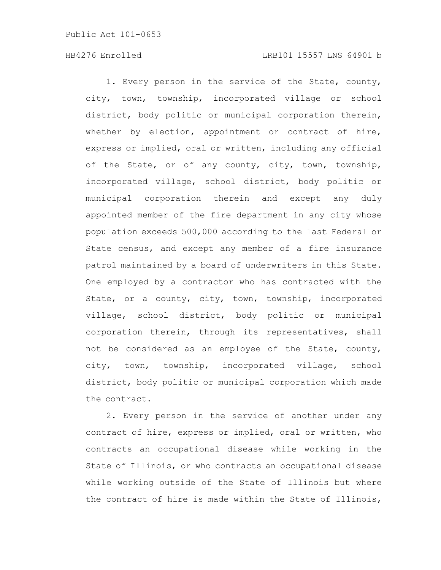### HB4276 Enrolled LRB101 15557 LNS 64901 b

1. Every person in the service of the State, county, city, town, township, incorporated village or school district, body politic or municipal corporation therein, whether by election, appointment or contract of hire, express or implied, oral or written, including any official of the State, or of any county, city, town, township, incorporated village, school district, body politic or municipal corporation therein and except any duly appointed member of the fire department in any city whose population exceeds 500,000 according to the last Federal or State census, and except any member of a fire insurance patrol maintained by a board of underwriters in this State. One employed by a contractor who has contracted with the State, or a county, city, town, township, incorporated village, school district, body politic or municipal corporation therein, through its representatives, shall not be considered as an employee of the State, county, city, town, township, incorporated village, school district, body politic or municipal corporation which made the contract.

2. Every person in the service of another under any contract of hire, express or implied, oral or written, who contracts an occupational disease while working in the State of Illinois, or who contracts an occupational disease while working outside of the State of Illinois but where the contract of hire is made within the State of Illinois,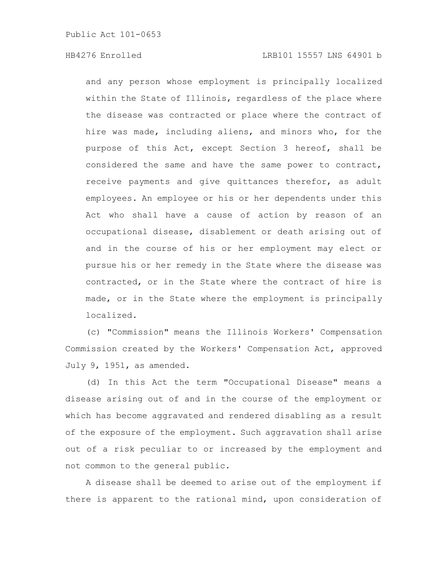and any person whose employment is principally localized within the State of Illinois, regardless of the place where the disease was contracted or place where the contract of hire was made, including aliens, and minors who, for the purpose of this Act, except Section 3 hereof, shall be considered the same and have the same power to contract, receive payments and give quittances therefor, as adult employees. An employee or his or her dependents under this Act who shall have a cause of action by reason of an occupational disease, disablement or death arising out of and in the course of his or her employment may elect or pursue his or her remedy in the State where the disease was contracted, or in the State where the contract of hire is made, or in the State where the employment is principally localized.

(c) "Commission" means the Illinois Workers' Compensation Commission created by the Workers' Compensation Act, approved July 9, 1951, as amended.

(d) In this Act the term "Occupational Disease" means a disease arising out of and in the course of the employment or which has become aggravated and rendered disabling as a result of the exposure of the employment. Such aggravation shall arise out of a risk peculiar to or increased by the employment and not common to the general public.

A disease shall be deemed to arise out of the employment if there is apparent to the rational mind, upon consideration of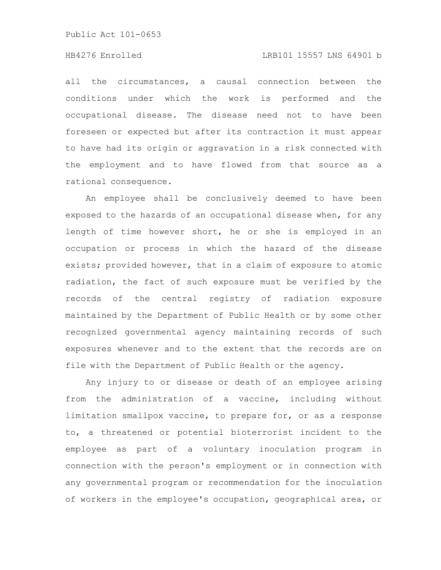# HB4276 Enrolled LRB101 15557 LNS 64901 b

all the circumstances, a causal connection between the conditions under which the work is performed and the occupational disease. The disease need not to have been foreseen or expected but after its contraction it must appear to have had its origin or aggravation in a risk connected with the employment and to have flowed from that source as a rational consequence.

An employee shall be conclusively deemed to have been exposed to the hazards of an occupational disease when, for any length of time however short, he or she is employed in an occupation or process in which the hazard of the disease exists; provided however, that in a claim of exposure to atomic radiation, the fact of such exposure must be verified by the records of the central registry of radiation exposure maintained by the Department of Public Health or by some other recognized governmental agency maintaining records of such exposures whenever and to the extent that the records are on file with the Department of Public Health or the agency.

Any injury to or disease or death of an employee arising from the administration of a vaccine, including without limitation smallpox vaccine, to prepare for, or as a response to, a threatened or potential bioterrorist incident to the employee as part of a voluntary inoculation program in connection with the person's employment or in connection with any governmental program or recommendation for the inoculation of workers in the employee's occupation, geographical area, or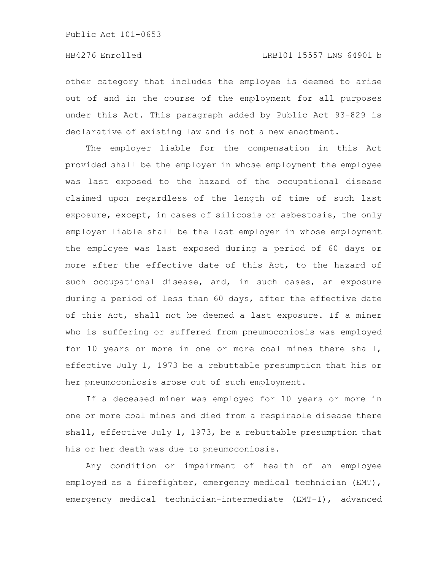other category that includes the employee is deemed to arise out of and in the course of the employment for all purposes under this Act. This paragraph added by Public Act 93-829 is declarative of existing law and is not a new enactment.

The employer liable for the compensation in this Act provided shall be the employer in whose employment the employee was last exposed to the hazard of the occupational disease claimed upon regardless of the length of time of such last exposure, except, in cases of silicosis or asbestosis, the only employer liable shall be the last employer in whose employment the employee was last exposed during a period of 60 days or more after the effective date of this Act, to the hazard of such occupational disease, and, in such cases, an exposure during a period of less than 60 days, after the effective date of this Act, shall not be deemed a last exposure. If a miner who is suffering or suffered from pneumoconiosis was employed for 10 years or more in one or more coal mines there shall, effective July 1, 1973 be a rebuttable presumption that his or her pneumoconiosis arose out of such employment.

If a deceased miner was employed for 10 years or more in one or more coal mines and died from a respirable disease there shall, effective July 1, 1973, be a rebuttable presumption that his or her death was due to pneumoconiosis.

Any condition or impairment of health of an employee employed as a firefighter, emergency medical technician (EMT), emergency medical technician-intermediate (EMT-I), advanced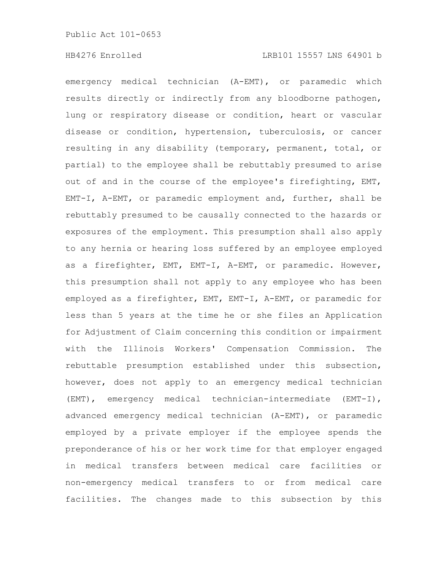emergency medical technician (A-EMT), or paramedic which results directly or indirectly from any bloodborne pathogen, lung or respiratory disease or condition, heart or vascular disease or condition, hypertension, tuberculosis, or cancer resulting in any disability (temporary, permanent, total, or partial) to the employee shall be rebuttably presumed to arise out of and in the course of the employee's firefighting, EMT, EMT-I, A-EMT, or paramedic employment and, further, shall be rebuttably presumed to be causally connected to the hazards or exposures of the employment. This presumption shall also apply to any hernia or hearing loss suffered by an employee employed as a firefighter, EMT, EMT-I, A-EMT, or paramedic. However, this presumption shall not apply to any employee who has been employed as a firefighter, EMT, EMT-I, A-EMT, or paramedic for less than 5 years at the time he or she files an Application for Adjustment of Claim concerning this condition or impairment with the Illinois Workers' Compensation Commission. The rebuttable presumption established under this subsection, however, does not apply to an emergency medical technician (EMT), emergency medical technician-intermediate (EMT-I), advanced emergency medical technician (A-EMT), or paramedic employed by a private employer if the employee spends the preponderance of his or her work time for that employer engaged in medical transfers between medical care facilities or non-emergency medical transfers to or from medical care facilities. The changes made to this subsection by this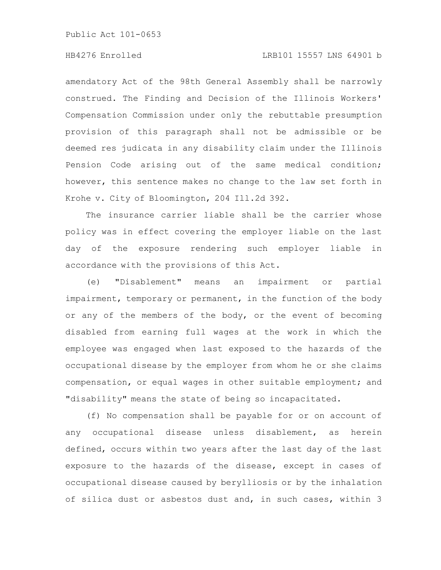# HB4276 Enrolled LRB101 15557 LNS 64901 b

amendatory Act of the 98th General Assembly shall be narrowly construed. The Finding and Decision of the Illinois Workers' Compensation Commission under only the rebuttable presumption provision of this paragraph shall not be admissible or be deemed res judicata in any disability claim under the Illinois Pension Code arising out of the same medical condition; however, this sentence makes no change to the law set forth in Krohe v. City of Bloomington, 204 Ill.2d 392.

The insurance carrier liable shall be the carrier whose policy was in effect covering the employer liable on the last day of the exposure rendering such employer liable in accordance with the provisions of this Act.

(e) "Disablement" means an impairment or partial impairment, temporary or permanent, in the function of the body or any of the members of the body, or the event of becoming disabled from earning full wages at the work in which the employee was engaged when last exposed to the hazards of the occupational disease by the employer from whom he or she claims compensation, or equal wages in other suitable employment; and "disability" means the state of being so incapacitated.

(f) No compensation shall be payable for or on account of any occupational disease unless disablement, as herein defined, occurs within two years after the last day of the last exposure to the hazards of the disease, except in cases of occupational disease caused by berylliosis or by the inhalation of silica dust or asbestos dust and, in such cases, within 3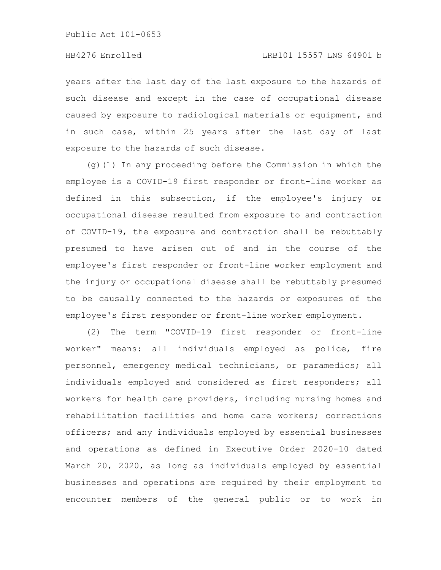years after the last day of the last exposure to the hazards of such disease and except in the case of occupational disease caused by exposure to radiological materials or equipment, and in such case, within 25 years after the last day of last exposure to the hazards of such disease.

(g)(1) In any proceeding before the Commission in which the employee is a COVID-19 first responder or front-line worker as defined in this subsection, if the employee's injury or occupational disease resulted from exposure to and contraction of COVID-19, the exposure and contraction shall be rebuttably presumed to have arisen out of and in the course of the employee's first responder or front-line worker employment and the injury or occupational disease shall be rebuttably presumed to be causally connected to the hazards or exposures of the employee's first responder or front-line worker employment.

(2) The term "COVID-19 first responder or front-line worker" means: all individuals employed as police, fire personnel, emergency medical technicians, or paramedics; all individuals employed and considered as first responders; all workers for health care providers, including nursing homes and rehabilitation facilities and home care workers; corrections officers; and any individuals employed by essential businesses and operations as defined in Executive Order 2020-10 dated March 20, 2020, as long as individuals employed by essential businesses and operations are required by their employment to encounter members of the general public or to work in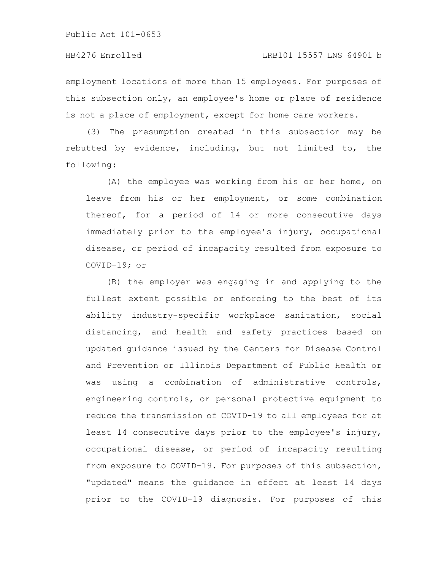employment locations of more than 15 employees. For purposes of this subsection only, an employee's home or place of residence is not a place of employment, except for home care workers.

(3) The presumption created in this subsection may be rebutted by evidence, including, but not limited to, the following:

(A) the employee was working from his or her home, on leave from his or her employment, or some combination thereof, for a period of 14 or more consecutive days immediately prior to the employee's injury, occupational disease, or period of incapacity resulted from exposure to COVID-19; or

(B) the employer was engaging in and applying to the fullest extent possible or enforcing to the best of its ability industry-specific workplace sanitation, social distancing, and health and safety practices based on updated guidance issued by the Centers for Disease Control and Prevention or Illinois Department of Public Health or was using a combination of administrative controls, engineering controls, or personal protective equipment to reduce the transmission of COVID-19 to all employees for at least 14 consecutive days prior to the employee's injury, occupational disease, or period of incapacity resulting from exposure to COVID-19. For purposes of this subsection, "updated" means the guidance in effect at least 14 days prior to the COVID-19 diagnosis. For purposes of this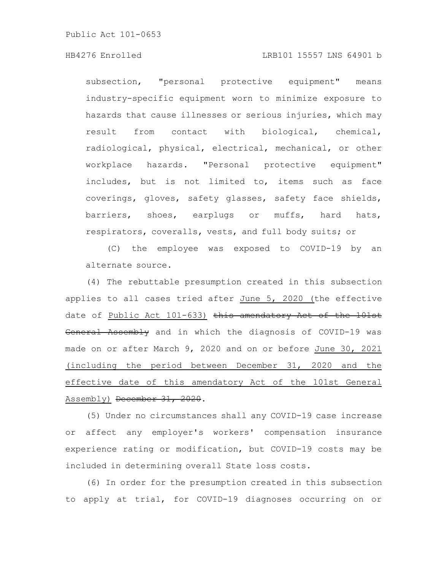subsection, "personal protective equipment" means industry-specific equipment worn to minimize exposure to hazards that cause illnesses or serious injuries, which may result from contact with biological, chemical, radiological, physical, electrical, mechanical, or other workplace hazards. "Personal protective equipment" includes, but is not limited to, items such as face coverings, gloves, safety glasses, safety face shields, barriers, shoes, earplugs or muffs, hard hats, respirators, coveralls, vests, and full body suits; or

(C) the employee was exposed to COVID-19 by an alternate source.

(4) The rebuttable presumption created in this subsection applies to all cases tried after June 5, 2020 (the effective date of Public Act 101-633) this amendatory Act of the 101st General Assembly and in which the diagnosis of COVID-19 was made on or after March 9, 2020 and on or before June 30, 2021 (including the period between December 31, 2020 and the effective date of this amendatory Act of the 101st General Assembly) December 31, 2020.

(5) Under no circumstances shall any COVID-19 case increase or affect any employer's workers' compensation insurance experience rating or modification, but COVID-19 costs may be included in determining overall State loss costs.

(6) In order for the presumption created in this subsection to apply at trial, for COVID-19 diagnoses occurring on or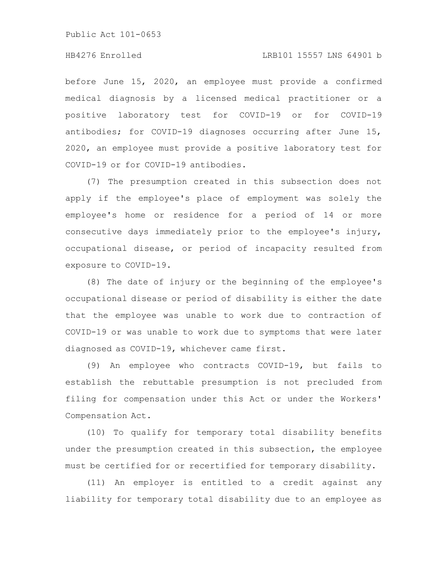# HB4276 Enrolled LRB101 15557 LNS 64901 b

before June 15, 2020, an employee must provide a confirmed medical diagnosis by a licensed medical practitioner or a positive laboratory test for COVID-19 or for COVID-19 antibodies; for COVID-19 diagnoses occurring after June 15, 2020, an employee must provide a positive laboratory test for COVID-19 or for COVID-19 antibodies.

(7) The presumption created in this subsection does not apply if the employee's place of employment was solely the employee's home or residence for a period of 14 or more consecutive days immediately prior to the employee's injury, occupational disease, or period of incapacity resulted from exposure to COVID-19.

(8) The date of injury or the beginning of the employee's occupational disease or period of disability is either the date that the employee was unable to work due to contraction of COVID-19 or was unable to work due to symptoms that were later diagnosed as COVID-19, whichever came first.

(9) An employee who contracts COVID-19, but fails to establish the rebuttable presumption is not precluded from filing for compensation under this Act or under the Workers' Compensation Act.

(10) To qualify for temporary total disability benefits under the presumption created in this subsection, the employee must be certified for or recertified for temporary disability.

(11) An employer is entitled to a credit against any liability for temporary total disability due to an employee as